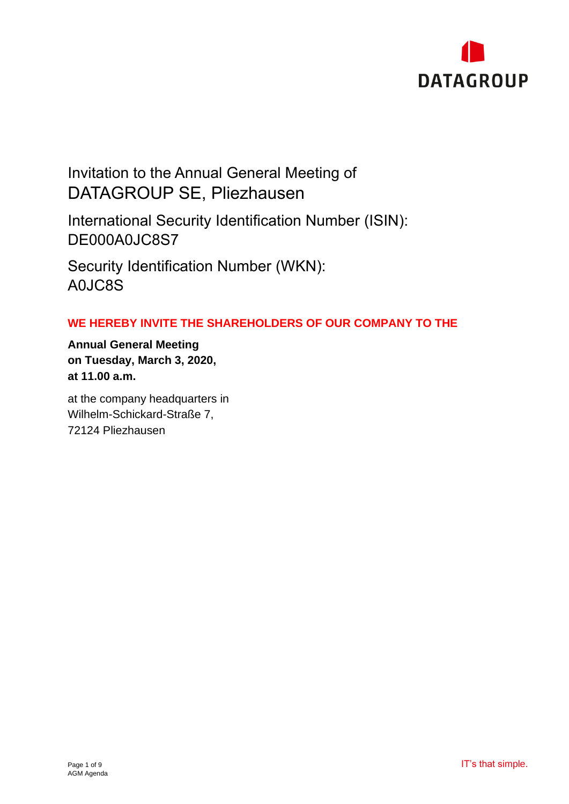

# Invitation to the Annual General Meeting of DATAGROUP SE, Pliezhausen

International Security Identification Number (ISIN): DE000A0JC8S7

Security Identification Number (WKN): A0JC8S

# **WE HEREBY INVITE THE SHAREHOLDERS OF OUR COMPANY TO THE**

**Annual General Meeting on Tuesday, March 3, 2020, at 11.00 a.m.**

at the company headquarters in Wilhelm-Schickard-Straße 7, 72124 Pliezhausen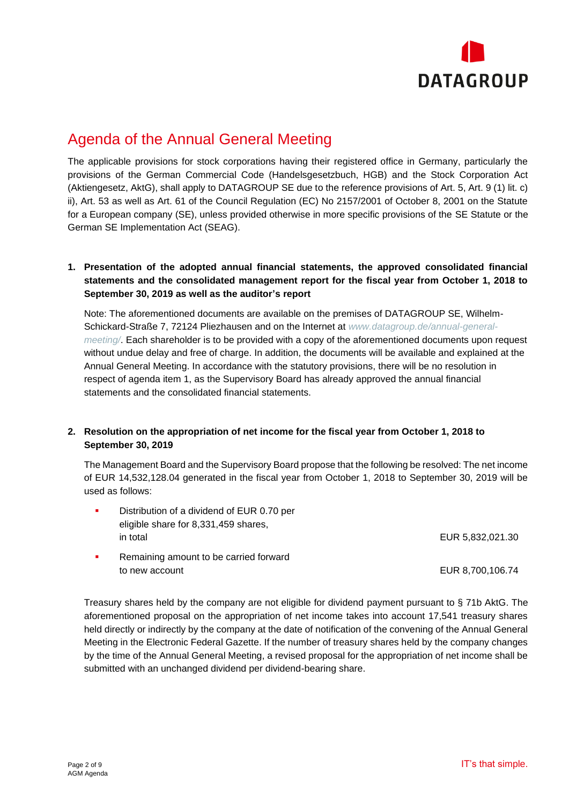

# Agenda of the Annual General Meeting

The applicable provisions for stock corporations having their registered office in Germany, particularly the provisions of the German Commercial Code (Handelsgesetzbuch, HGB) and the Stock Corporation Act (Aktiengesetz, AktG), shall apply to DATAGROUP SE due to the reference provisions of Art. 5, Art. 9 (1) lit. c) ii), Art. 53 as well as Art. 61 of the Council Regulation (EC) No 2157/2001 of October 8, 2001 on the Statute for a European company (SE), unless provided otherwise in more specific provisions of the SE Statute or the German SE Implementation Act (SEAG).

# **1. Presentation of the adopted annual financial statements, the approved consolidated financial statements and the consolidated management report for the fiscal year from October 1, 2018 to September 30, 2019 as well as the auditor's report**

Note: The aforementioned documents are available on the premises of DATAGROUP SE, Wilhelm-Schickard-Straße 7, 72124 Pliezhausen and on the Internet at *www.datagroup.de/annual-generalmeeting/*. Each shareholder is to be provided with a copy of the aforementioned documents upon request without undue delay and free of charge. In addition, the documents will be available and explained at the Annual General Meeting. In accordance with the statutory provisions, there will be no resolution in respect of agenda item 1, as the Supervisory Board has already approved the annual financial statements and the consolidated financial statements.

# **2. Resolution on the appropriation of net income for the fiscal year from October 1, 2018 to September 30, 2019**

The Management Board and the Supervisory Board propose that the following be resolved: The net income of EUR 14,532,128.04 generated in the fiscal year from October 1, 2018 to September 30, 2019 will be used as follows:

|  | Distribution of a dividend of EUR 0.70 per |                  |
|--|--------------------------------------------|------------------|
|  | eligible share for 8,331,459 shares,       |                  |
|  | in total                                   | EUR 5.832.021.30 |
|  | Domaining amount to be corried fenyard     |                  |

Remaining amount to be carried forward to new account the control of the control of the control of the EUR 8,700,106.74

Treasury shares held by the company are not eligible for dividend payment pursuant to § 71b AktG. The aforementioned proposal on the appropriation of net income takes into account 17,541 treasury shares held directly or indirectly by the company at the date of notification of the convening of the Annual General Meeting in the Electronic Federal Gazette. If the number of treasury shares held by the company changes by the time of the Annual General Meeting, a revised proposal for the appropriation of net income shall be submitted with an unchanged dividend per dividend-bearing share.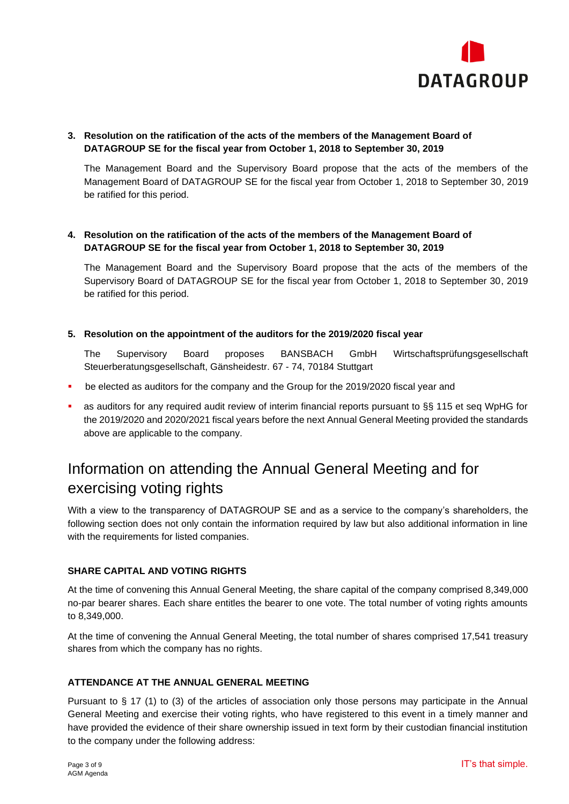

# **3. Resolution on the ratification of the acts of the members of the Management Board of DATAGROUP SE for the fiscal year from October 1, 2018 to September 30, 2019**

The Management Board and the Supervisory Board propose that the acts of the members of the Management Board of DATAGROUP SE for the fiscal year from October 1, 2018 to September 30, 2019 be ratified for this period.

## **4. Resolution on the ratification of the acts of the members of the Management Board of DATAGROUP SE for the fiscal year from October 1, 2018 to September 30, 2019**

The Management Board and the Supervisory Board propose that the acts of the members of the Supervisory Board of DATAGROUP SE for the fiscal year from October 1, 2018 to September 30, 2019 be ratified for this period.

#### **5. Resolution on the appointment of the auditors for the 2019/2020 fiscal year**

The Supervisory Board proposes BANSBACH GmbH Wirtschaftsprüfungsgesellschaft Steuerberatungsgesellschaft, Gänsheidestr. 67 - 74, 70184 Stuttgart

- be elected as auditors for the company and the Group for the 2019/2020 fiscal year and
- as auditors for any required audit review of interim financial reports pursuant to §§ 115 et seq WpHG for the 2019/2020 and 2020/2021 fiscal years before the next Annual General Meeting provided the standards above are applicable to the company.

# Information on attending the Annual General Meeting and for exercising voting rights

With a view to the transparency of DATAGROUP SE and as a service to the company's shareholders, the following section does not only contain the information required by law but also additional information in line with the requirements for listed companies.

#### **SHARE CAPITAL AND VOTING RIGHTS**

At the time of convening this Annual General Meeting, the share capital of the company comprised 8,349,000 no-par bearer shares. Each share entitles the bearer to one vote. The total number of voting rights amounts to 8,349,000.

At the time of convening the Annual General Meeting, the total number of shares comprised 17,541 treasury shares from which the company has no rights.

#### **ATTENDANCE AT THE ANNUAL GENERAL MEETING**

Pursuant to § 17 (1) to (3) of the articles of association only those persons may participate in the Annual General Meeting and exercise their voting rights, who have registered to this event in a timely manner and have provided the evidence of their share ownership issued in text form by their custodian financial institution to the company under the following address: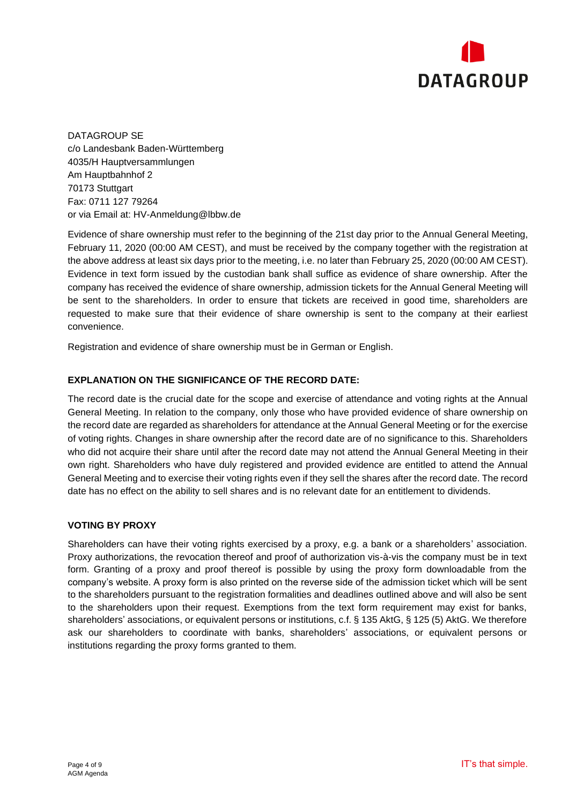

DATAGROUP SE c/o Landesbank Baden-Württemberg 4035/H Hauptversammlungen Am Hauptbahnhof 2 70173 Stuttgart Fax: 0711 127 79264 or via Email at: [HV-Anmeldung@lbbw.de](mailto:HV-Anmeldung@lbbw.de)

Evidence of share ownership must refer to the beginning of the 21st day prior to the Annual General Meeting, February 11, 2020 (00:00 AM CEST), and must be received by the company together with the registration at the above address at least six days prior to the meeting, i.e. no later than February 25, 2020 (00:00 AM CEST). Evidence in text form issued by the custodian bank shall suffice as evidence of share ownership. After the company has received the evidence of share ownership, admission tickets for the Annual General Meeting will be sent to the shareholders. In order to ensure that tickets are received in good time, shareholders are requested to make sure that their evidence of share ownership is sent to the company at their earliest convenience.

Registration and evidence of share ownership must be in German or English.

### **EXPLANATION ON THE SIGNIFICANCE OF THE RECORD DATE:**

The record date is the crucial date for the scope and exercise of attendance and voting rights at the Annual General Meeting. In relation to the company, only those who have provided evidence of share ownership on the record date are regarded as shareholders for attendance at the Annual General Meeting or for the exercise of voting rights. Changes in share ownership after the record date are of no significance to this. Shareholders who did not acquire their share until after the record date may not attend the Annual General Meeting in their own right. Shareholders who have duly registered and provided evidence are entitled to attend the Annual General Meeting and to exercise their voting rights even if they sell the shares after the record date. The record date has no effect on the ability to sell shares and is no relevant date for an entitlement to dividends.

#### **VOTING BY PROXY**

Shareholders can have their voting rights exercised by a proxy, e.g. a bank or a shareholders' association. Proxy authorizations, the revocation thereof and proof of authorization vis-à-vis the company must be in text form. Granting of a proxy and proof thereof is possible by using the proxy form downloadable from the company's website. A proxy form is also printed on the reverse side of the admission ticket which will be sent to the shareholders pursuant to the registration formalities and deadlines outlined above and will also be sent to the shareholders upon their request. Exemptions from the text form requirement may exist for banks, shareholders' associations, or equivalent persons or institutions, c.f. § 135 AktG, § 125 (5) AktG. We therefore ask our shareholders to coordinate with banks, shareholders' associations, or equivalent persons or institutions regarding the proxy forms granted to them.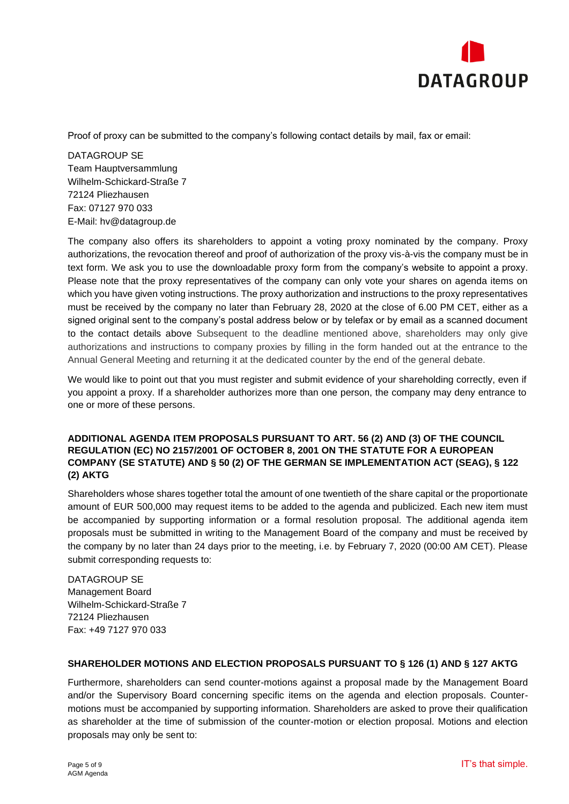

Proof of proxy can be submitted to the company's following contact details by mail, fax or email:

DATAGROUP SE Team Hauptversammlung Wilhelm-Schickard-Straße 7 72124 Pliezhausen Fax: 07127 970 033 E-Mail: hv@datagroup.de

The company also offers its shareholders to appoint a voting proxy nominated by the company. Proxy authorizations, the revocation thereof and proof of authorization of the proxy vis-à-vis the company must be in text form. We ask you to use the downloadable proxy form from the company's website to appoint a proxy. Please note that the proxy representatives of the company can only vote your shares on agenda items on which you have given voting instructions. The proxy authorization and instructions to the proxy representatives must be received by the company no later than February 28, 2020 at the close of 6.00 PM CET, either as a signed original sent to the company's postal address below or by telefax or by email as a scanned document to the contact details above Subsequent to the deadline mentioned above, shareholders may only give authorizations and instructions to company proxies by filling in the form handed out at the entrance to the Annual General Meeting and returning it at the dedicated counter by the end of the general debate.

We would like to point out that you must register and submit evidence of your shareholding correctly, even if you appoint a proxy. If a shareholder authorizes more than one person, the company may deny entrance to one or more of these persons.

#### **ADDITIONAL AGENDA ITEM PROPOSALS PURSUANT TO ART. 56 (2) AND (3) OF THE COUNCIL REGULATION (EC) NO 2157/2001 OF OCTOBER 8, 2001 ON THE STATUTE FOR A EUROPEAN COMPANY (SE STATUTE) AND § 50 (2) OF THE GERMAN SE IMPLEMENTATION ACT (SEAG), § 122 (2) AKTG**

Shareholders whose shares together total the amount of one twentieth of the share capital or the proportionate amount of EUR 500,000 may request items to be added to the agenda and publicized. Each new item must be accompanied by supporting information or a formal resolution proposal. The additional agenda item proposals must be submitted in writing to the Management Board of the company and must be received by the company by no later than 24 days prior to the meeting, i.e. by February 7, 2020 (00:00 AM CET). Please submit corresponding requests to:

DATAGROUP SE Management Board Wilhelm-Schickard-Straße 7 72124 Pliezhausen Fax: +49 7127 970 033

### **SHAREHOLDER MOTIONS AND ELECTION PROPOSALS PURSUANT TO § 126 (1) AND § 127 AKTG**

Furthermore, shareholders can send counter-motions against a proposal made by the Management Board and/or the Supervisory Board concerning specific items on the agenda and election proposals. Countermotions must be accompanied by supporting information. Shareholders are asked to prove their qualification as shareholder at the time of submission of the counter-motion or election proposal. Motions and election proposals may only be sent to: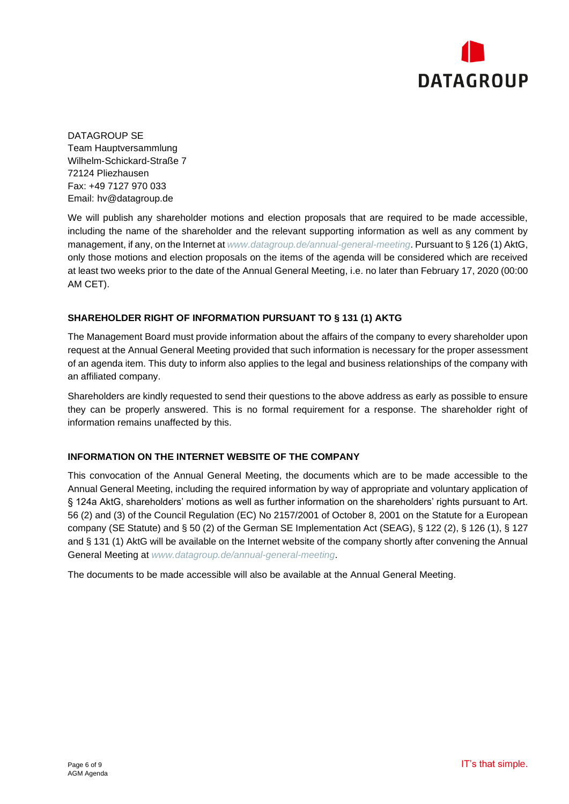

DATAGROUP SE Team Hauptversammlung Wilhelm-Schickard-Straße 7 72124 Pliezhausen Fax: +49 7127 970 033 Email: hv@datagroup.de

We will publish any shareholder motions and election proposals that are required to be made accessible, including the name of the shareholder and the relevant supporting information as well as any comment by management, if any, on the Internet at *www.datagroup.de/annual-general-meeting*. Pursuant to § 126 (1) AktG, only those motions and election proposals on the items of the agenda will be considered which are received at least two weeks prior to the date of the Annual General Meeting, i.e. no later than February 17, 2020 (00:00 AM CET).

### **SHAREHOLDER RIGHT OF INFORMATION PURSUANT TO § 131 (1) AKTG**

The Management Board must provide information about the affairs of the company to every shareholder upon request at the Annual General Meeting provided that such information is necessary for the proper assessment of an agenda item. This duty to inform also applies to the legal and business relationships of the company with an affiliated company.

Shareholders are kindly requested to send their questions to the above address as early as possible to ensure they can be properly answered. This is no formal requirement for a response. The shareholder right of information remains unaffected by this.

#### **INFORMATION ON THE INTERNET WEBSITE OF THE COMPANY**

This convocation of the Annual General Meeting, the documents which are to be made accessible to the Annual General Meeting, including the required information by way of appropriate and voluntary application of § 124a AktG, shareholders' motions as well as further information on the shareholders' rights pursuant to Art. 56 (2) and (3) of the Council Regulation (EC) No 2157/2001 of October 8, 2001 on the Statute for a European company (SE Statute) and § 50 (2) of the German SE Implementation Act (SEAG), § 122 (2), § 126 (1), § 127 and § 131 (1) AktG will be available on the Internet website of the company shortly after convening the Annual General Meeting at *www.datagroup.de/annual-general-meeting*.

The documents to be made accessible will also be available at the Annual General Meeting.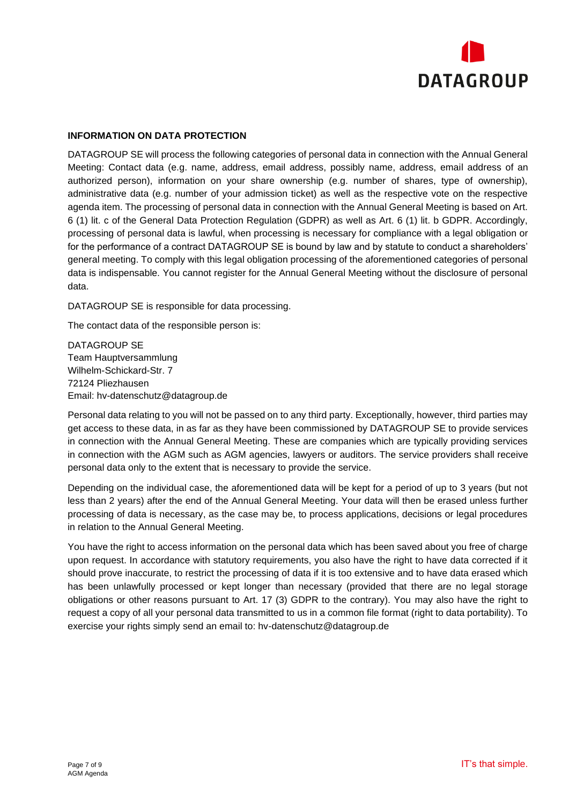

#### **INFORMATION ON DATA PROTECTION**

DATAGROUP SE will process the following categories of personal data in connection with the Annual General Meeting: Contact data (e.g. name, address, email address, possibly name, address, email address of an authorized person), information on your share ownership (e.g. number of shares, type of ownership), administrative data (e.g. number of your admission ticket) as well as the respective vote on the respective agenda item. The processing of personal data in connection with the Annual General Meeting is based on Art. 6 (1) lit. c of the General Data Protection Regulation (GDPR) as well as Art. 6 (1) lit. b GDPR. Accordingly, processing of personal data is lawful, when processing is necessary for compliance with a legal obligation or for the performance of a contract DATAGROUP SE is bound by law and by statute to conduct a shareholders' general meeting. To comply with this legal obligation processing of the aforementioned categories of personal data is indispensable. You cannot register for the Annual General Meeting without the disclosure of personal data.

DATAGROUP SE is responsible for data processing.

The contact data of the responsible person is:

DATAGROUP SE Team Hauptversammlung Wilhelm-Schickard-Str. 7 72124 Pliezhausen Email: hv-datenschutz@datagroup.de

Personal data relating to you will not be passed on to any third party. Exceptionally, however, third parties may get access to these data, in as far as they have been commissioned by DATAGROUP SE to provide services in connection with the Annual General Meeting. These are companies which are typically providing services in connection with the AGM such as AGM agencies, lawyers or auditors. The service providers shall receive personal data only to the extent that is necessary to provide the service.

Depending on the individual case, the aforementioned data will be kept for a period of up to 3 years (but not less than 2 years) after the end of the Annual General Meeting. Your data will then be erased unless further processing of data is necessary, as the case may be, to process applications, decisions or legal procedures in relation to the Annual General Meeting.

You have the right to access information on the personal data which has been saved about you free of charge upon request. In accordance with statutory requirements, you also have the right to have data corrected if it should prove inaccurate, to restrict the processing of data if it is too extensive and to have data erased which has been unlawfully processed or kept longer than necessary (provided that there are no legal storage obligations or other reasons pursuant to Art. 17 (3) GDPR to the contrary). You may also have the right to request a copy of all your personal data transmitted to us in a common file format (right to data portability). To exercise your rights simply send an email to: hv-datenschutz@datagroup.de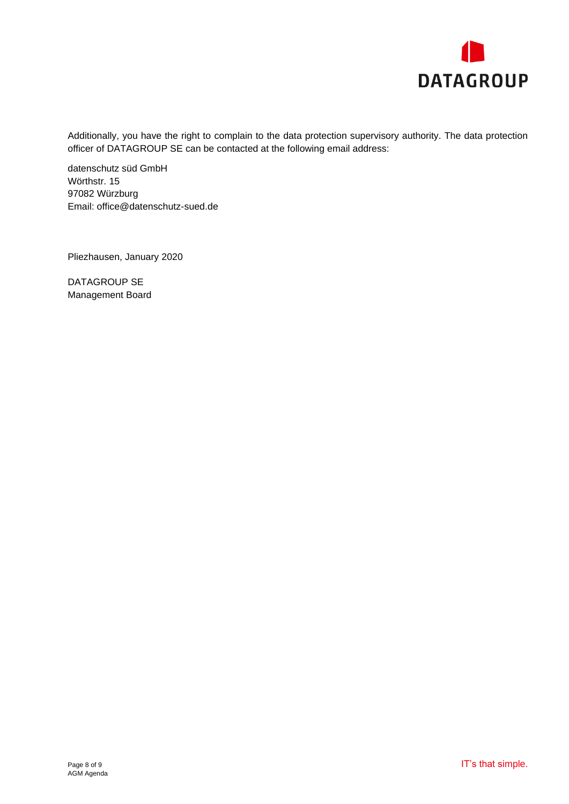

Additionally, you have the right to complain to the data protection supervisory authority. The data protection officer of DATAGROUP SE can be contacted at the following email address:

datenschutz süd GmbH Wörthstr. 15 97082 Würzburg Email: office@datenschutz-sued.de

Pliezhausen, January 2020

DATAGROUP SE Management Board